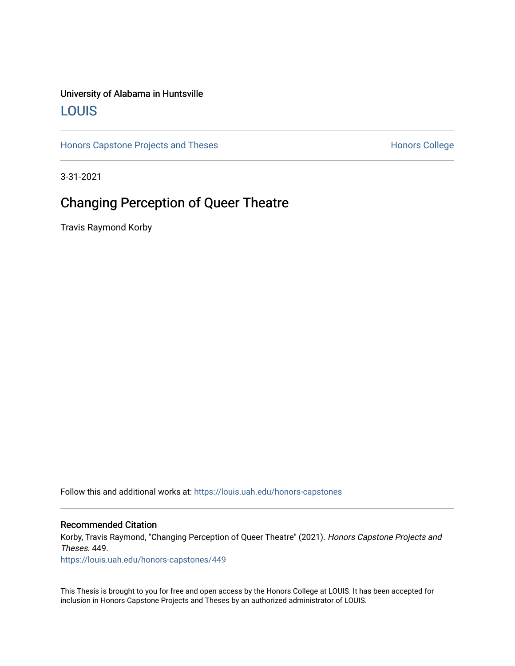## University of Alabama in Huntsville [LOUIS](https://louis.uah.edu/)

[Honors Capstone Projects and Theses](https://louis.uah.edu/honors-capstones) **Honors College** Honors College

3-31-2021

## Changing Perception of Queer Theatre

Travis Raymond Korby

Follow this and additional works at: [https://louis.uah.edu/honors-capstones](https://louis.uah.edu/honors-capstones?utm_source=louis.uah.edu%2Fhonors-capstones%2F449&utm_medium=PDF&utm_campaign=PDFCoverPages) 

#### Recommended Citation

Korby, Travis Raymond, "Changing Perception of Queer Theatre" (2021). Honors Capstone Projects and Theses. 449.

[https://louis.uah.edu/honors-capstones/449](https://louis.uah.edu/honors-capstones/449?utm_source=louis.uah.edu%2Fhonors-capstones%2F449&utm_medium=PDF&utm_campaign=PDFCoverPages) 

This Thesis is brought to you for free and open access by the Honors College at LOUIS. It has been accepted for inclusion in Honors Capstone Projects and Theses by an authorized administrator of LOUIS.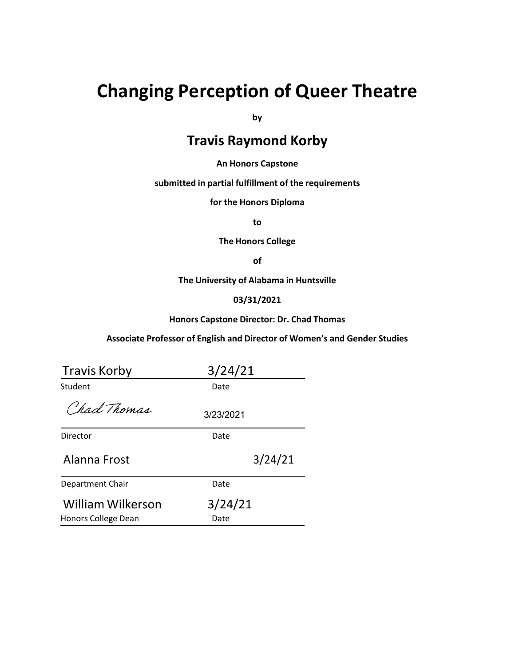# **Changing Perception of Queer Theatre**

**by**

## **Travis Raymond Korby**

#### **An Honors Capstone**

**submitted in partial fulfillment of the requirements**

**for the Honors Diploma**

**to**

**The Honors College**

**of**

**The University of Alabama in Huntsville**

### **03/31/2021**

#### **Honors Capstone Director: Dr. Chad Thomas**

#### **Associate Professor of English and Director of Women's and Gender Studies**

| <b>Travis Korby</b>                      | 3/24/21         |  |
|------------------------------------------|-----------------|--|
| Student                                  | Date            |  |
| Chad Thomas                              | 3/23/2021       |  |
| Director                                 | Date            |  |
| Alanna Frost                             | 3/24/21         |  |
| Department Chair                         | Date            |  |
| William Wilkerson<br>Honors College Dean | 3/24/21<br>Date |  |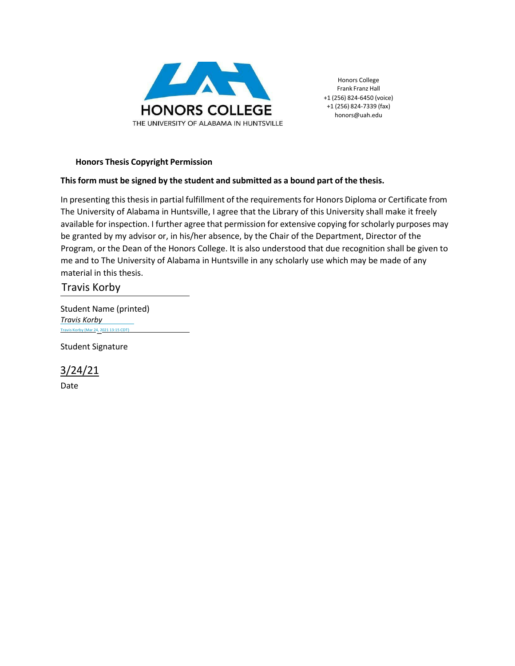

Honors College Frank Franz Hall +1 (256) 824-6450 (voice) +1 (256) 824-7339 (fax) [honors@uah.edu](mailto:honors@uah.edu)

## **Honors Thesis Copyright Permission**

## **Thisform must be signed by the student and submitted as a bound part of the thesis.**

In presenting this thesis in partial fulfillment of the requirements for Honors Diploma or Certificate from The University of Alabama in Huntsville, I agree that the Library of this University shall make it freely available for inspection. I further agree that permission for extensive copying forscholarly purposes may be granted by my advisor or, in his/her absence, by the Chair of the Department, Director of the Program, or the Dean of the Honors College. It is also understood that due recognition shall be given to me and to The University of Alabama in Huntsville in any scholarly use which may be made of any material in this thesis.

Travis Korby

Student Name (printed) *[Travis](https://adobefreeuserschannel.na2.documents.adobe.com/verifier?tx=CBJCHBCAABAAACka_xszlsbcbp94X1r0nb7mcUV4v-F6) Korby* [Travis](https://adobefreeuserschannel.na2.documents.adobe.com/verifier?tx=CBJCHBCAABAAACka_xszlsbcbp94X1r0nb7mcUV4v-F6) Korby (Mar [24\\_,](https://adobefreeuserschannel.na2.documents.adobe.com/verifier?tx=CBJCHBCAABAAACka_xszlsbcbp94X1r0nb7mcUV4v-F6) <sup>2021</sup> 13:15 CDT)

Student Signature

3/24/21

Date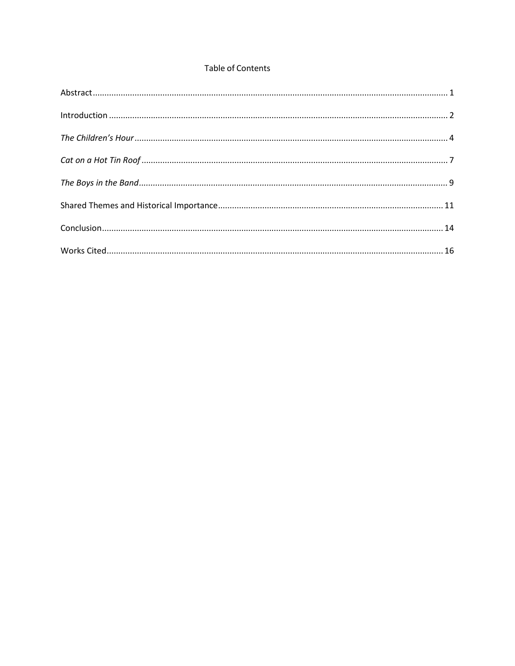## **Table of Contents**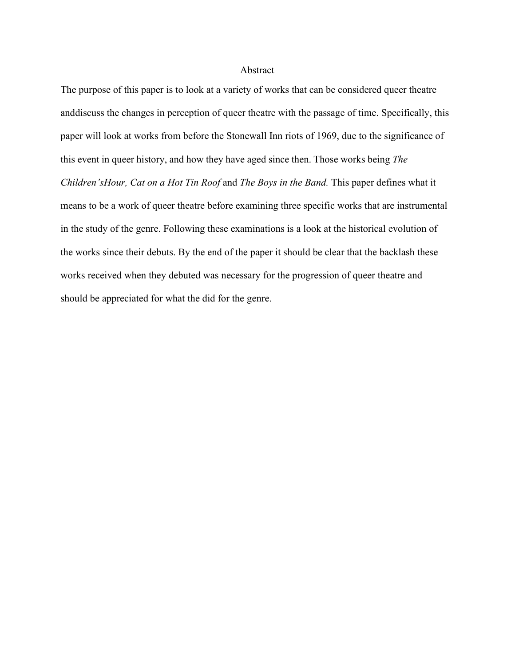## Abstract

The purpose of this paper is to look at a variety of works that can be considered queer theatre anddiscuss the changes in perception of queer theatre with the passage of time. Specifically, this paper will look at works from before the Stonewall Inn riots of 1969, due to the significance of this event in queer history, and how they have aged since then. Those works being *The Children'sHour, Cat on a Hot Tin Roof* and *The Boys in the Band.* This paper defines what it means to be a work of queer theatre before examining three specific works that are instrumental in the study of the genre. Following these examinations is a look at the historical evolution of the works since their debuts. By the end of the paper it should be clear that the backlash these works received when they debuted was necessary for the progression of queer theatre and should be appreciated for what the did for the genre.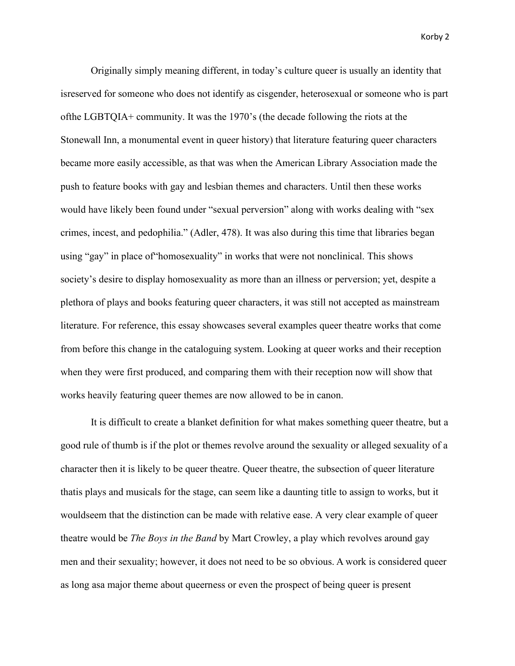Originally simply meaning different, in today's culture queer is usually an identity that isreserved for someone who does not identify as cisgender, heterosexual or someone who is part ofthe LGBTQIA+ community. It was the 1970's (the decade following the riots at the Stonewall Inn, a monumental event in queer history) that literature featuring queer characters became more easily accessible, as that was when the American Library Association made the push to feature books with gay and lesbian themes and characters. Until then these works would have likely been found under "sexual perversion" along with works dealing with "sex crimes, incest, and pedophilia." (Adler, 478). It was also during this time that libraries began using "gay" in place of"homosexuality" in works that were not nonclinical. This shows society's desire to display homosexuality as more than an illness or perversion; yet, despite a plethora of plays and books featuring queer characters, it was still not accepted as mainstream literature. For reference, this essay showcases several examples queer theatre works that come from before this change in the cataloguing system. Looking at queer works and their reception when they were first produced, and comparing them with their reception now will show that works heavily featuring queer themes are now allowed to be in canon.

It is difficult to create a blanket definition for what makes something queer theatre, but a good rule of thumb is if the plot or themes revolve around the sexuality or alleged sexuality of a character then it is likely to be queer theatre. Queer theatre, the subsection of queer literature thatis plays and musicals for the stage, can seem like a daunting title to assign to works, but it wouldseem that the distinction can be made with relative ease. A very clear example of queer theatre would be *The Boys in the Band* by Mart Crowley, a play which revolves around gay men and their sexuality; however, it does not need to be so obvious. A work is considered queer as long asa major theme about queerness or even the prospect of being queer is present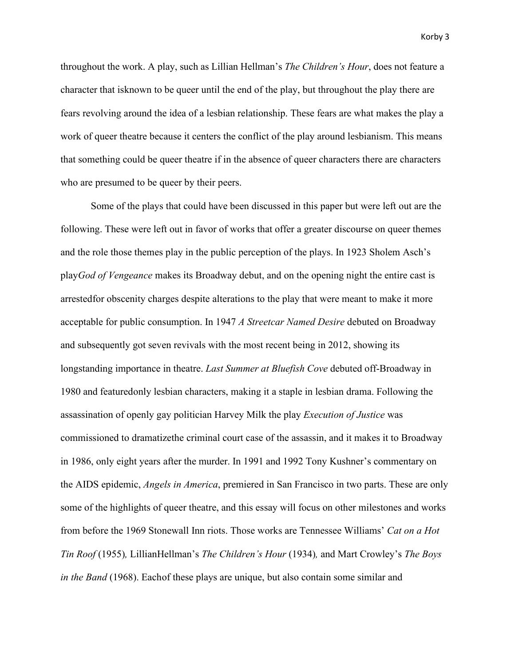throughout the work. A play, such as Lillian Hellman's *The Children's Hour*, does not feature a character that isknown to be queer until the end of the play, but throughout the play there are fears revolving around the idea of a lesbian relationship. These fears are what makes the play a work of queer theatre because it centers the conflict of the play around lesbianism. This means that something could be queer theatre if in the absence of queer characters there are characters who are presumed to be queer by their peers.

Some of the plays that could have been discussed in this paper but were left out are the following. These were left out in favor of works that offer a greater discourse on queer themes and the role those themes play in the public perception of the plays. In 1923 Sholem Asch's play*God of Vengeance* makes its Broadway debut, and on the opening night the entire cast is arrestedfor obscenity charges despite alterations to the play that were meant to make it more acceptable for public consumption. In 1947 *A Streetcar Named Desire* debuted on Broadway and subsequently got seven revivals with the most recent being in 2012, showing its longstanding importance in theatre. *Last Summer at Bluefish Cove* debuted off-Broadway in 1980 and featuredonly lesbian characters, making it a staple in lesbian drama. Following the assassination of openly gay politician Harvey Milk the play *Execution of Justice* was commissioned to dramatizethe criminal court case of the assassin, and it makes it to Broadway in 1986, only eight years after the murder. In 1991 and 1992 Tony Kushner's commentary on the AIDS epidemic, *Angels in America*, premiered in San Francisco in two parts. These are only some of the highlights of queer theatre, and this essay will focus on other milestones and works from before the 1969 Stonewall Inn riots. Those works are Tennessee Williams' *Cat on a Hot Tin Roof* (1955)*,* LillianHellman's *The Children's Hour* (1934)*,* and Mart Crowley's *The Boys in the Band* (1968). Eachof these plays are unique, but also contain some similar and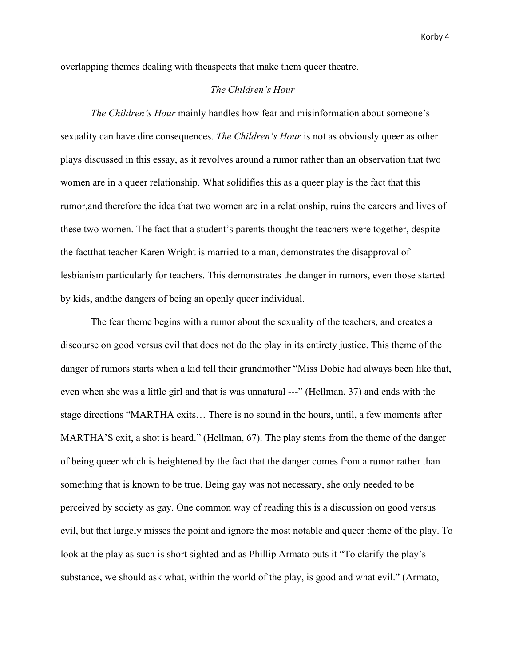overlapping themes dealing with theaspects that make them queer theatre.

### *The Children's Hour*

*The Children's Hour* mainly handles how fear and misinformation about someone's sexuality can have dire consequences. *The Children's Hour* is not as obviously queer as other plays discussed in this essay, as it revolves around a rumor rather than an observation that two women are in a queer relationship. What solidifies this as a queer play is the fact that this rumor,and therefore the idea that two women are in a relationship, ruins the careers and lives of these two women. The fact that a student's parents thought the teachers were together, despite the factthat teacher Karen Wright is married to a man, demonstrates the disapproval of lesbianism particularly for teachers. This demonstrates the danger in rumors, even those started by kids, andthe dangers of being an openly queer individual.

The fear theme begins with a rumor about the sexuality of the teachers, and creates a discourse on good versus evil that does not do the play in its entirety justice. This theme of the danger of rumors starts when a kid tell their grandmother "Miss Dobie had always been like that, even when she was a little girl and that is was unnatural ---" (Hellman, 37) and ends with the stage directions "MARTHA exits… There is no sound in the hours, until, a few moments after MARTHA'S exit, a shot is heard." (Hellman, 67). The play stems from the theme of the danger of being queer which is heightened by the fact that the danger comes from a rumor rather than something that is known to be true. Being gay was not necessary, she only needed to be perceived by society as gay. One common way of reading this is a discussion on good versus evil, but that largely misses the point and ignore the most notable and queer theme of the play. To look at the play as such is short sighted and as Phillip Armato puts it "To clarify the play's substance, we should ask what, within the world of the play, is good and what evil." (Armato,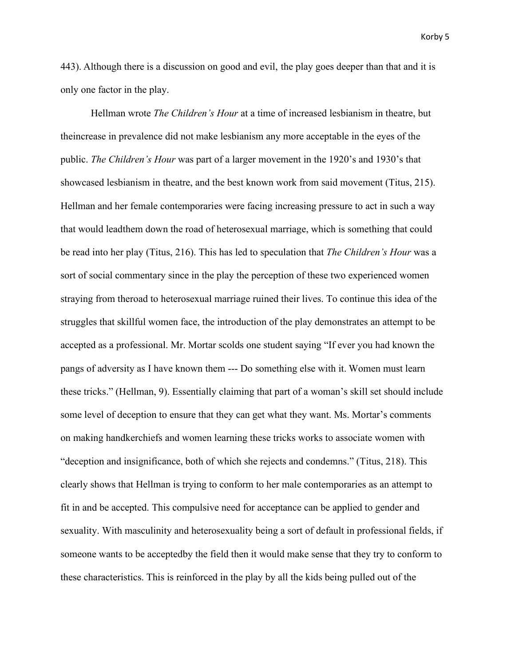443). Although there is a discussion on good and evil, the play goes deeper than that and it is only one factor in the play.

Hellman wrote *The Children's Hour* at a time of increased lesbianism in theatre, but theincrease in prevalence did not make lesbianism any more acceptable in the eyes of the public. *The Children's Hour* was part of a larger movement in the 1920's and 1930's that showcased lesbianism in theatre, and the best known work from said movement (Titus, 215). Hellman and her female contemporaries were facing increasing pressure to act in such a way that would leadthem down the road of heterosexual marriage, which is something that could be read into her play (Titus, 216). This has led to speculation that *The Children's Hour* was a sort of social commentary since in the play the perception of these two experienced women straying from theroad to heterosexual marriage ruined their lives. To continue this idea of the struggles that skillful women face, the introduction of the play demonstrates an attempt to be accepted as a professional. Mr. Mortar scolds one student saying "If ever you had known the pangs of adversity as I have known them --- Do something else with it. Women must learn these tricks." (Hellman, 9). Essentially claiming that part of a woman's skill set should include some level of deception to ensure that they can get what they want. Ms. Mortar's comments on making handkerchiefs and women learning these tricks works to associate women with "deception and insignificance, both of which she rejects and condemns." (Titus, 218). This clearly shows that Hellman is trying to conform to her male contemporaries as an attempt to fit in and be accepted. This compulsive need for acceptance can be applied to gender and sexuality. With masculinity and heterosexuality being a sort of default in professional fields, if someone wants to be acceptedby the field then it would make sense that they try to conform to these characteristics. This is reinforced in the play by all the kids being pulled out of the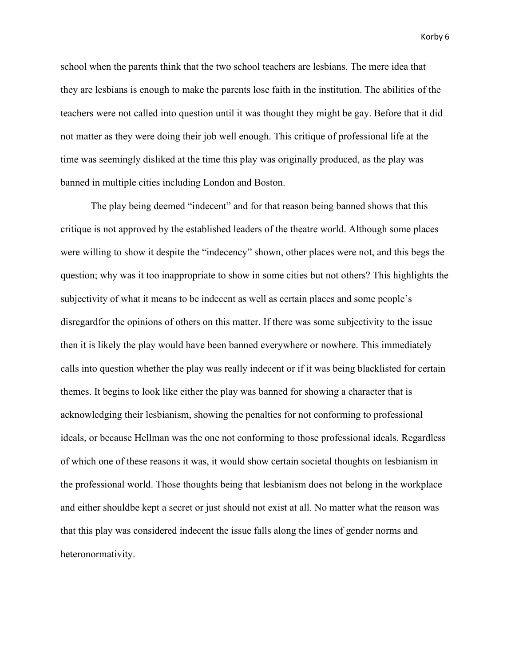school when the parents think that the two school teachers are lesbians. The mere idea that they are lesbians is enough to make the parents lose faith in the institution. The abilities of the teachers were not called into question until it was thought they might be gay. Before that it did not matter as they were doing their job well enough. This critique of professional life at the time was seemingly disliked at the time this play was originally produced, as the play was banned in multiple cities including London and Boston.

The play being deemed "indecent" and for that reason being banned shows that this critique is not approved by the established leaders of the theatre world. Although some places were willing to show it despite the "indecency" shown, other places were not, and this begs the question; why was it too inappropriate to show in some cities but not others? This highlights the subjectivity of what it means to be indecent as well as certain places and some people's disregardfor the opinions of others on this matter. If there was some subjectivity to the issue then it is likely the play would have been banned everywhere or nowhere. This immediately calls into question whether the play was really indecent or if it was being blacklisted for certain themes. It begins to look like either the play was banned for showing a character that is acknowledging their lesbianism, showing the penalties for not conforming to professional ideals, or because Hellman was the one not conforming to those professional ideals. Regardless of which one of these reasons it was, it would show certain societal thoughts on lesbianism in the professional world. Those thoughts being that lesbianism does not belong in the workplace and either shouldbe kept a secret or just should not exist at all. No matter what the reason was that this play was considered indecent the issue falls along the lines of gender norms and heteronormativity.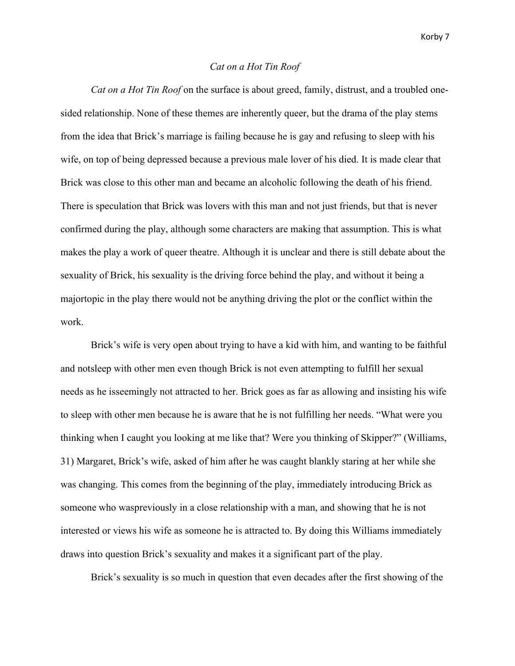## *Cat on a Hot Tin Roof*

*Cat on a Hot Tin Roof* on the surface is about greed, family, distrust, and a troubled onesided relationship. None of these themes are inherently queer, but the drama of the play stems from the idea that Brick's marriage is failing because he is gay and refusing to sleep with his wife, on top of being depressed because a previous male lover of his died. It is made clear that Brick was close to this other man and became an alcoholic following the death of his friend. There is speculation that Brick was lovers with this man and not just friends, but that is never confirmed during the play, although some characters are making that assumption. This is what makes the play a work of queer theatre. Although it is unclear and there is still debate about the sexuality of Brick, his sexuality is the driving force behind the play, and without it being a majortopic in the play there would not be anything driving the plot or the conflict within the work.

Brick's wife is very open about trying to have a kid with him, and wanting to be faithful and notsleep with other men even though Brick is not even attempting to fulfill her sexual needs as he isseemingly not attracted to her. Brick goes as far as allowing and insisting his wife to sleep with other men because he is aware that he is not fulfilling her needs. "What were you thinking when I caught you looking at me like that? Were you thinking of Skipper?" (Williams, 31) Margaret, Brick's wife, asked of him after he was caught blankly staring at her while she was changing. This comes from the beginning of the play, immediately introducing Brick as someone who waspreviously in a close relationship with a man, and showing that he is not interested or views his wife as someone he is attracted to. By doing this Williams immediately draws into question Brick's sexuality and makes it a significant part of the play.

Brick's sexuality is so much in question that even decades after the first showing of the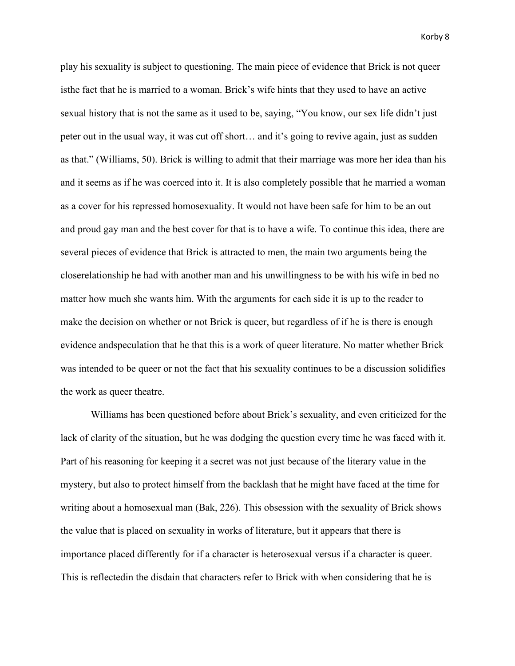play his sexuality is subject to questioning. The main piece of evidence that Brick is not queer isthe fact that he is married to a woman. Brick's wife hints that they used to have an active sexual history that is not the same as it used to be, saying, "You know, our sex life didn't just peter out in the usual way, it was cut off short… and it's going to revive again, just as sudden as that." (Williams, 50). Brick is willing to admit that their marriage was more her idea than his and it seems as if he was coerced into it. It is also completely possible that he married a woman as a cover for his repressed homosexuality. It would not have been safe for him to be an out and proud gay man and the best cover for that is to have a wife. To continue this idea, there are several pieces of evidence that Brick is attracted to men, the main two arguments being the closerelationship he had with another man and his unwillingness to be with his wife in bed no matter how much she wants him. With the arguments for each side it is up to the reader to make the decision on whether or not Brick is queer, but regardless of if he is there is enough evidence andspeculation that he that this is a work of queer literature. No matter whether Brick was intended to be queer or not the fact that his sexuality continues to be a discussion solidifies the work as queer theatre.

Williams has been questioned before about Brick's sexuality, and even criticized for the lack of clarity of the situation, but he was dodging the question every time he was faced with it. Part of his reasoning for keeping it a secret was not just because of the literary value in the mystery, but also to protect himself from the backlash that he might have faced at the time for writing about a homosexual man (Bak, 226). This obsession with the sexuality of Brick shows the value that is placed on sexuality in works of literature, but it appears that there is importance placed differently for if a character is heterosexual versus if a character is queer. This is reflectedin the disdain that characters refer to Brick with when considering that he is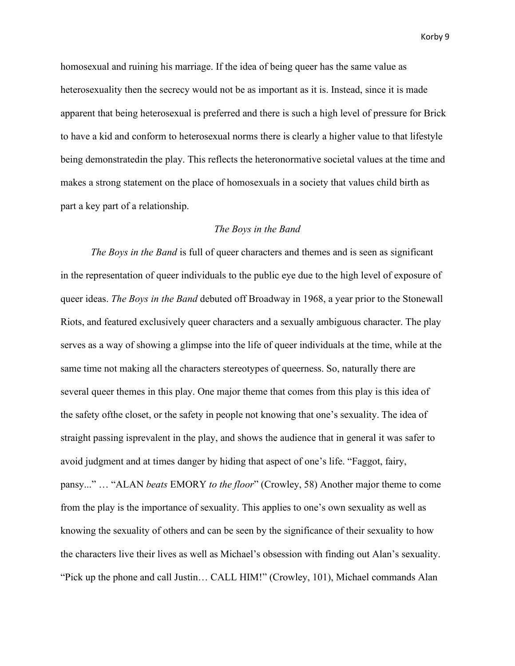homosexual and ruining his marriage. If the idea of being queer has the same value as heterosexuality then the secrecy would not be as important as it is. Instead, since it is made apparent that being heterosexual is preferred and there is such a high level of pressure for Brick to have a kid and conform to heterosexual norms there is clearly a higher value to that lifestyle being demonstratedin the play. This reflects the heteronormative societal values at the time and makes a strong statement on the place of homosexuals in a society that values child birth as part a key part of a relationship.

## *The Boys in the Band*

*The Boys in the Band* is full of queer characters and themes and is seen as significant in the representation of queer individuals to the public eye due to the high level of exposure of queer ideas. *The Boys in the Band* debuted off Broadway in 1968, a year prior to the Stonewall Riots, and featured exclusively queer characters and a sexually ambiguous character. The play serves as a way of showing a glimpse into the life of queer individuals at the time, while at the same time not making all the characters stereotypes of queerness. So, naturally there are several queer themes in this play. One major theme that comes from this play is this idea of the safety ofthe closet, or the safety in people not knowing that one's sexuality. The idea of straight passing isprevalent in the play, and shows the audience that in general it was safer to avoid judgment and at times danger by hiding that aspect of one's life. "Faggot, fairy, pansy..." … "ALAN *beats* EMORY *to the floor*" (Crowley, 58) Another major theme to come from the play is the importance of sexuality. This applies to one's own sexuality as well as knowing the sexuality of others and can be seen by the significance of their sexuality to how the characters live their lives as well as Michael's obsession with finding out Alan's sexuality. "Pick up the phone and call Justin… CALL HIM!" (Crowley, 101), Michael commands Alan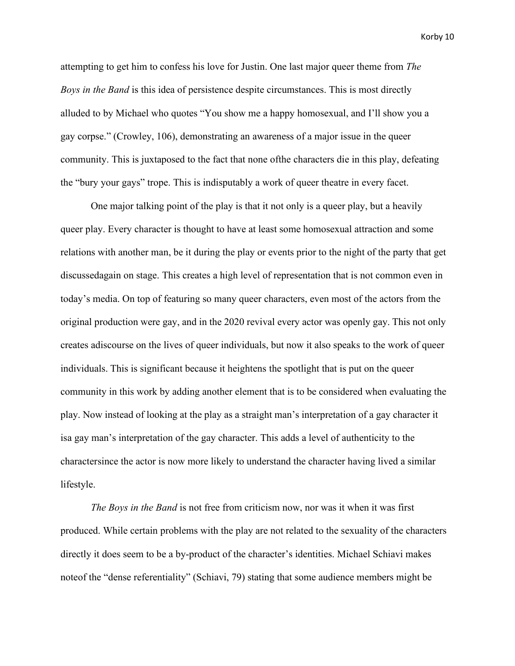attempting to get him to confess his love for Justin. One last major queer theme from *The Boys in the Band* is this idea of persistence despite circumstances. This is most directly alluded to by Michael who quotes "You show me a happy homosexual, and I'll show you a gay corpse." (Crowley, 106), demonstrating an awareness of a major issue in the queer community. This is juxtaposed to the fact that none ofthe characters die in this play, defeating the "bury your gays" trope. This is indisputably a work of queer theatre in every facet.

One major talking point of the play is that it not only is a queer play, but a heavily queer play. Every character is thought to have at least some homosexual attraction and some relations with another man, be it during the play or events prior to the night of the party that get discussedagain on stage. This creates a high level of representation that is not common even in today's media. On top of featuring so many queer characters, even most of the actors from the original production were gay, and in the 2020 revival every actor was openly gay. This not only creates adiscourse on the lives of queer individuals, but now it also speaks to the work of queer individuals. This is significant because it heightens the spotlight that is put on the queer community in this work by adding another element that is to be considered when evaluating the play. Now instead of looking at the play as a straight man's interpretation of a gay character it isa gay man's interpretation of the gay character. This adds a level of authenticity to the charactersince the actor is now more likely to understand the character having lived a similar lifestyle.

*The Boys in the Band* is not free from criticism now, nor was it when it was first produced. While certain problems with the play are not related to the sexuality of the characters directly it does seem to be a by-product of the character's identities. Michael Schiavi makes noteof the "dense referentiality" (Schiavi, 79) stating that some audience members might be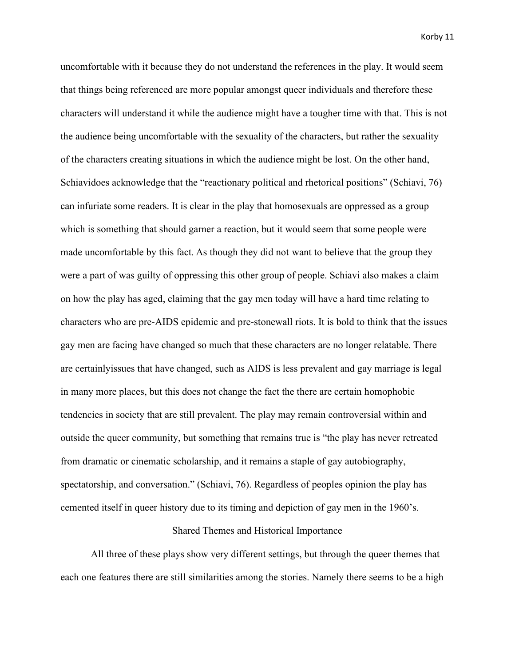uncomfortable with it because they do not understand the references in the play. It would seem that things being referenced are more popular amongst queer individuals and therefore these characters will understand it while the audience might have a tougher time with that. This is not the audience being uncomfortable with the sexuality of the characters, but rather the sexuality of the characters creating situations in which the audience might be lost. On the other hand, Schiavidoes acknowledge that the "reactionary political and rhetorical positions" (Schiavi, 76) can infuriate some readers. It is clear in the play that homosexuals are oppressed as a group which is something that should garner a reaction, but it would seem that some people were made uncomfortable by this fact. As though they did not want to believe that the group they were a part of was guilty of oppressing this other group of people. Schiavi also makes a claim on how the play has aged, claiming that the gay men today will have a hard time relating to characters who are pre-AIDS epidemic and pre-stonewall riots. It is bold to think that the issues gay men are facing have changed so much that these characters are no longer relatable. There are certainlyissues that have changed, such as AIDS is less prevalent and gay marriage is legal in many more places, but this does not change the fact the there are certain homophobic tendencies in society that are still prevalent. The play may remain controversial within and outside the queer community, but something that remains true is "the play has never retreated from dramatic or cinematic scholarship, and it remains a staple of gay autobiography, spectatorship, and conversation." (Schiavi, 76). Regardless of peoples opinion the play has cemented itself in queer history due to its timing and depiction of gay men in the 1960's.

### Shared Themes and Historical Importance

All three of these plays show very different settings, but through the queer themes that each one features there are still similarities among the stories. Namely there seems to be a high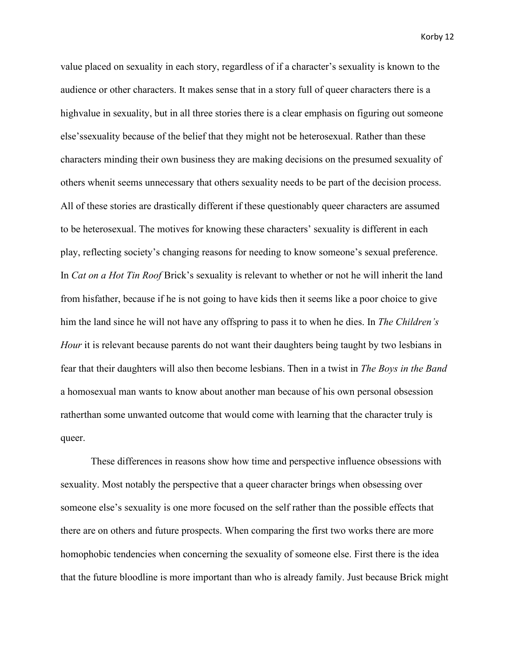value placed on sexuality in each story, regardless of if a character's sexuality is known to the audience or other characters. It makes sense that in a story full of queer characters there is a highvalue in sexuality, but in all three stories there is a clear emphasis on figuring out someone else'ssexuality because of the belief that they might not be heterosexual. Rather than these characters minding their own business they are making decisions on the presumed sexuality of others whenit seems unnecessary that others sexuality needs to be part of the decision process. All of these stories are drastically different if these questionably queer characters are assumed to be heterosexual. The motives for knowing these characters' sexuality is different in each play, reflecting society's changing reasons for needing to know someone's sexual preference. In *Cat on a Hot Tin Roof* Brick's sexuality is relevant to whether or not he will inherit the land from hisfather, because if he is not going to have kids then it seems like a poor choice to give him the land since he will not have any offspring to pass it to when he dies. In *The Children's Hour* it is relevant because parents do not want their daughters being taught by two lesbians in fear that their daughters will also then become lesbians. Then in a twist in *The Boys in the Band*  a homosexual man wants to know about another man because of his own personal obsession ratherthan some unwanted outcome that would come with learning that the character truly is queer.

These differences in reasons show how time and perspective influence obsessions with sexuality. Most notably the perspective that a queer character brings when obsessing over someone else's sexuality is one more focused on the self rather than the possible effects that there are on others and future prospects. When comparing the first two works there are more homophobic tendencies when concerning the sexuality of someone else. First there is the idea that the future bloodline is more important than who is already family. Just because Brick might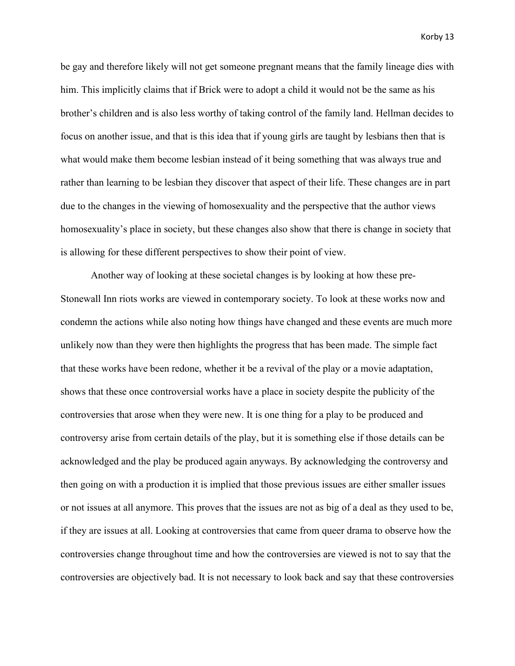be gay and therefore likely will not get someone pregnant means that the family lineage dies with him. This implicitly claims that if Brick were to adopt a child it would not be the same as his brother's children and is also less worthy of taking control of the family land. Hellman decides to focus on another issue, and that is this idea that if young girls are taught by lesbians then that is what would make them become lesbian instead of it being something that was always true and rather than learning to be lesbian they discover that aspect of their life. These changes are in part due to the changes in the viewing of homosexuality and the perspective that the author views homosexuality's place in society, but these changes also show that there is change in society that is allowing for these different perspectives to show their point of view.

Another way of looking at these societal changes is by looking at how these pre-Stonewall Inn riots works are viewed in contemporary society. To look at these works now and condemn the actions while also noting how things have changed and these events are much more unlikely now than they were then highlights the progress that has been made. The simple fact that these works have been redone, whether it be a revival of the play or a movie adaptation, shows that these once controversial works have a place in society despite the publicity of the controversies that arose when they were new. It is one thing for a play to be produced and controversy arise from certain details of the play, but it is something else if those details can be acknowledged and the play be produced again anyways. By acknowledging the controversy and then going on with a production it is implied that those previous issues are either smaller issues or not issues at all anymore. This proves that the issues are not as big of a deal as they used to be, if they are issues at all. Looking at controversies that came from queer drama to observe how the controversies change throughout time and how the controversies are viewed is not to say that the controversies are objectively bad. It is not necessary to look back and say that these controversies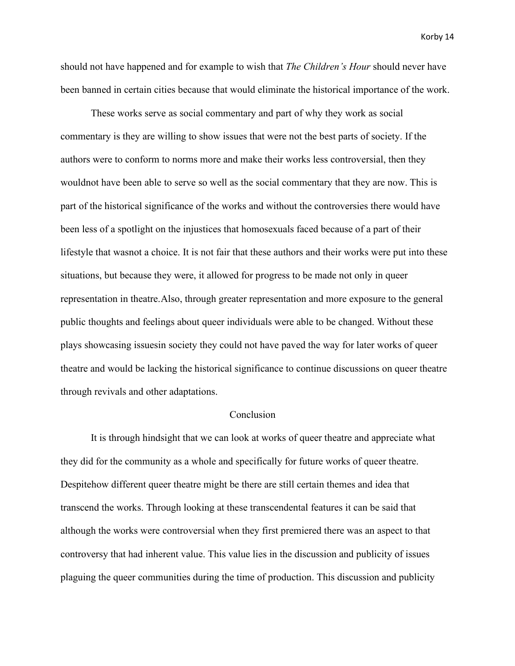should not have happened and for example to wish that *The Children's Hour* should never have been banned in certain cities because that would eliminate the historical importance of the work.

These works serve as social commentary and part of why they work as social commentary is they are willing to show issues that were not the best parts of society. If the authors were to conform to norms more and make their works less controversial, then they wouldnot have been able to serve so well as the social commentary that they are now. This is part of the historical significance of the works and without the controversies there would have been less of a spotlight on the injustices that homosexuals faced because of a part of their lifestyle that wasnot a choice. It is not fair that these authors and their works were put into these situations, but because they were, it allowed for progress to be made not only in queer representation in theatre.Also, through greater representation and more exposure to the general public thoughts and feelings about queer individuals were able to be changed. Without these plays showcasing issuesin society they could not have paved the way for later works of queer theatre and would be lacking the historical significance to continue discussions on queer theatre through revivals and other adaptations.

### Conclusion

It is through hindsight that we can look at works of queer theatre and appreciate what they did for the community as a whole and specifically for future works of queer theatre. Despitehow different queer theatre might be there are still certain themes and idea that transcend the works. Through looking at these transcendental features it can be said that although the works were controversial when they first premiered there was an aspect to that controversy that had inherent value. This value lies in the discussion and publicity of issues plaguing the queer communities during the time of production. This discussion and publicity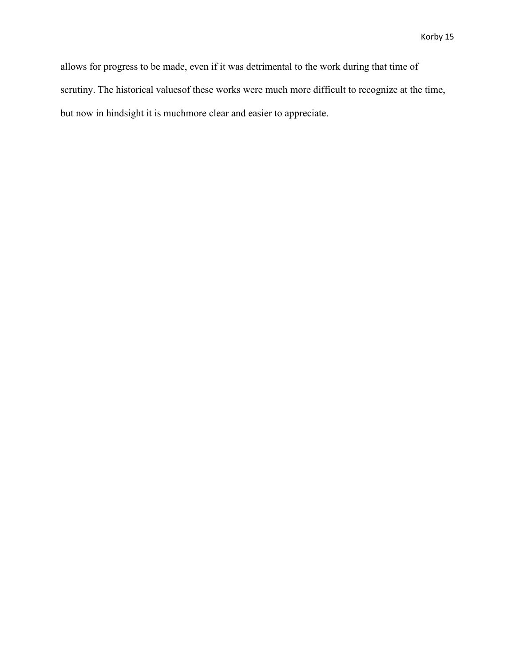allows for progress to be made, even if it was detrimental to the work during that time of scrutiny. The historical valuesof these works were much more difficult to recognize at the time, but now in hindsight it is muchmore clear and easier to appreciate.